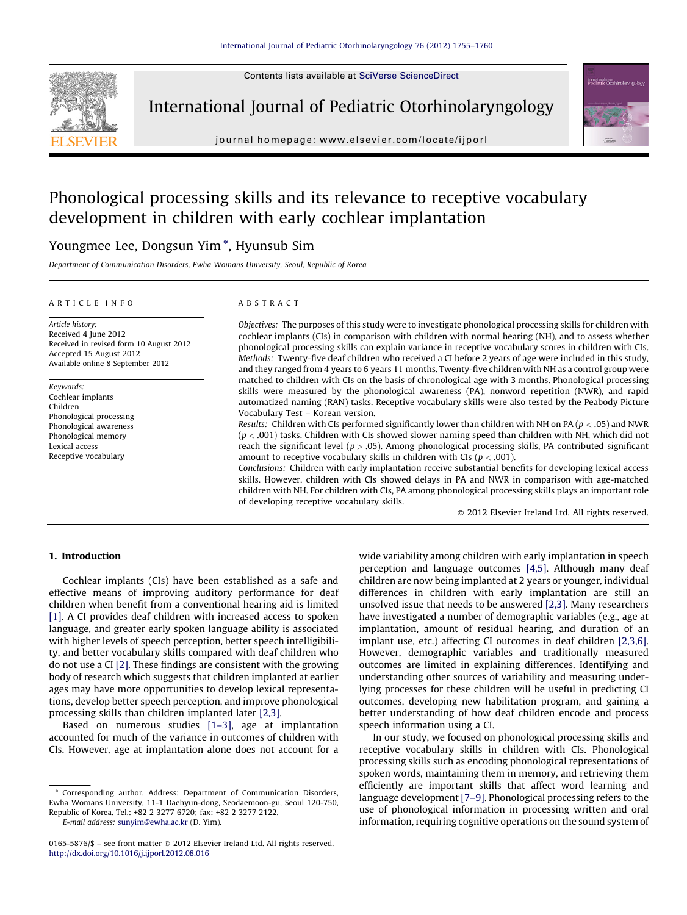

Contents lists available at SciVerse [ScienceDirect](http://www.sciencedirect.com/science/journal/01655876)

# International Journal of Pediatric Otorhinolaryngology

journal homepage: www.elsevier.com/locate/ijporl



# Phonological processing skills and its relevance to receptive vocabulary development in children with early cochlear implantation

## Youngmee Lee, Dongsun Yim \*, Hyunsub Sim

Department of Communication Disorders, Ewha Womans University, Seoul, Republic of Korea

#### A R T I C L E I N F O

Article history: Received 4 June 2012 Received in revised form 10 August 2012 Accepted 15 August 2012 Available online 8 September 2012

Keywords: Cochlear implants Children Phonological processing Phonological awareness Phonological memory Lexical access Receptive vocabulary

## A B S T R A C T

Objectives: The purposes of this study were to investigate phonological processing skills for children with cochlear implants (CIs) in comparison with children with normal hearing (NH), and to assess whether phonological processing skills can explain variance in receptive vocabulary scores in children with CIs. Methods: Twenty-five deaf children who received a CI before 2 years of age were included in this study, and they ranged from 4 years to 6 years 11 months. Twenty-five children with NH as a control group were matched to children with CIs on the basis of chronological age with 3 months. Phonological processing skills were measured by the phonological awareness (PA), nonword repetition (NWR), and rapid automatized naming (RAN) tasks. Receptive vocabulary skills were also tested by the Peabody Picture Vocabulary Test – Korean version.

Results: Children with CIs performed significantly lower than children with NH on PA ( $p < .05$ ) and NWR  $(p < .001)$  tasks. Children with CIs showed slower naming speed than children with NH, which did not reach the significant level ( $p > .05$ ). Among phonological processing skills, PA contributed significant amount to receptive vocabulary skills in children with CIs ( $p < .001$ ).

Conclusions: Children with early implantation receive substantial benefits for developing lexical access skills. However, children with CIs showed delays in PA and NWR in comparison with age-matched children with NH. For children with CIs, PA among phonological processing skills plays an important role of developing receptive vocabulary skills.

 $\odot$  2012 Elsevier Ireland Ltd. All rights reserved.

## 1. Introduction

Cochlear implants (CIs) have been established as a safe and effective means of improving auditory performance for deaf children when benefit from a conventional hearing aid is limited [\[1\]](#page-5-0). A CI provides deaf children with increased access to spoken language, and greater early spoken language ability is associated with higher levels of speech perception, better speech intelligibility, and better vocabulary skills compared with deaf children who do not use a CI [\[2\]](#page-5-0). These findings are consistent with the growing body of research which suggests that children implanted at earlier ages may have more opportunities to develop lexical representations, develop better speech perception, and improve phonological processing skills than children implanted later [\[2,3\].](#page-5-0)

Based on numerous studies [\[1–3\],](#page-5-0) age at implantation accounted for much of the variance in outcomes of children with CIs. However, age at implantation alone does not account for a

wide variability among children with early implantation in speech perception and language outcomes [\[4,5\].](#page-5-0) Although many deaf children are now being implanted at 2 years or younger, individual differences in children with early implantation are still an unsolved issue that needs to be answered [\[2,3\].](#page-5-0) Many researchers have investigated a number of demographic variables (e.g., age at implantation, amount of residual hearing, and duration of an implant use, etc.) affecting CI outcomes in deaf children [\[2,3,6\].](#page-5-0) However, demographic variables and traditionally measured outcomes are limited in explaining differences. Identifying and understanding other sources of variability and measuring underlying processes for these children will be useful in predicting CI outcomes, developing new habilitation program, and gaining a better understanding of how deaf children encode and process speech information using a CI.

In our study, we focused on phonological processing skills and receptive vocabulary skills in children with CIs. Phonological processing skills such as encoding phonological representations of spoken words, maintaining them in memory, and retrieving them efficiently are important skills that affect word learning and language development [\[7–9\]](#page-5-0). Phonological processing refers to the use of phonological information in processing written and oral information, requiring cognitive operations on the sound system of

Corresponding author. Address: Department of Communication Disorders, Ewha Womans University, 11-1 Daehyun-dong, Seodaemoon-gu, Seoul 120-750, Republic of Korea. Tel.: +82 2 3277 6720; fax: +82 2 3277 2122.

E-mail address: [sunyim@ewha.ac.kr](mailto:sunyim@ewha.ac.kr) (D. Yim).

<sup>0165-5876/\$ –</sup> see front matter  $\odot$  2012 Elsevier Ireland Ltd. All rights reserved. <http://dx.doi.org/10.1016/j.ijporl.2012.08.016>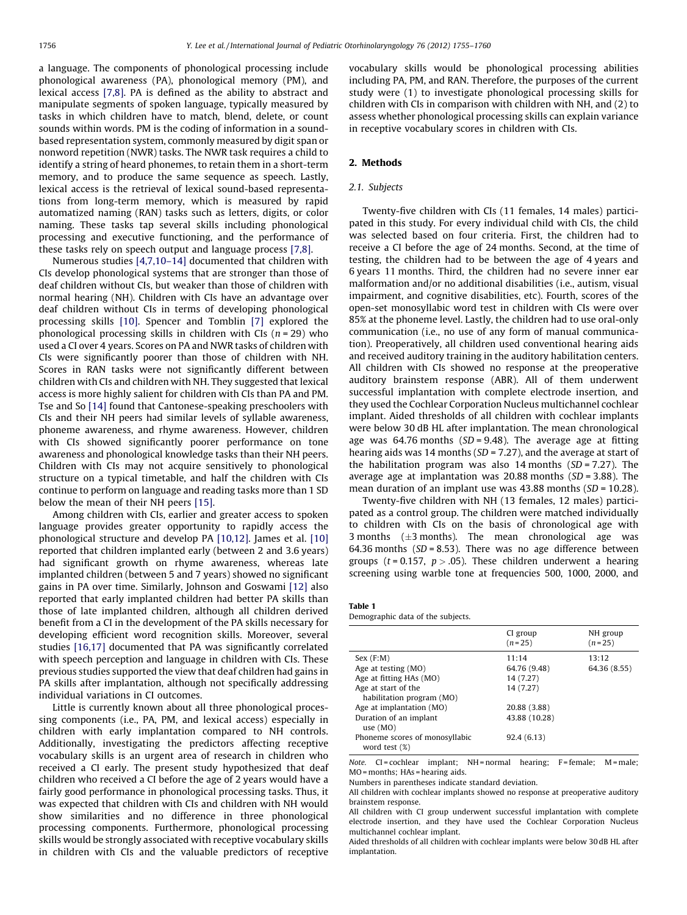<span id="page-1-0"></span>a language. The components of phonological processing include phonological awareness (PA), phonological memory (PM), and lexical access [\[7,8\]](#page-5-0). PA is defined as the ability to abstract and manipulate segments of spoken language, typically measured by tasks in which children have to match, blend, delete, or count sounds within words. PM is the coding of information in a soundbased representation system, commonly measured by digit span or nonword repetition (NWR) tasks. The NWR task requires a child to identify a string of heard phonemes, to retain them in a short-term memory, and to produce the same sequence as speech. Lastly, lexical access is the retrieval of lexical sound-based representations from long-term memory, which is measured by rapid automatized naming (RAN) tasks such as letters, digits, or color naming. These tasks tap several skills including phonological processing and executive functioning, and the performance of these tasks rely on speech output and language process [\[7,8\].](#page-5-0)

Numerous studies [\[4,7,10–14\]](#page-5-0) documented that children with CIs develop phonological systems that are stronger than those of deaf children without CIs, but weaker than those of children with normal hearing (NH). Children with CIs have an advantage over deaf children without CIs in terms of developing phonological processing skills [\[10\].](#page-5-0) Spencer and Tomblin [\[7\]](#page-5-0) explored the phonological processing skills in children with CIs ( $n = 29$ ) who used a CI over 4 years. Scores on PA and NWR tasks of children with CIs were significantly poorer than those of children with NH. Scores in RAN tasks were not significantly different between children with CIs and children with NH. They suggested that lexical access is more highly salient for children with CIs than PA and PM. Tse and So [\[14\]](#page-5-0) found that Cantonese-speaking preschoolers with CIs and their NH peers had similar levels of syllable awareness, phoneme awareness, and rhyme awareness. However, children with CIs showed significantly poorer performance on tone awareness and phonological knowledge tasks than their NH peers. Children with CIs may not acquire sensitively to phonological structure on a typical timetable, and half the children with CIs continue to perform on language and reading tasks more than 1 SD below the mean of their NH peers [\[15\]](#page-5-0).

Among children with CIs, earlier and greater access to spoken language provides greater opportunity to rapidly access the phonological structure and develop PA [\[10,12\]](#page-5-0). James et al. [\[10\]](#page-5-0) reported that children implanted early (between 2 and 3.6 years) had significant growth on rhyme awareness, whereas late implanted children (between 5 and 7 years) showed no significant gains in PA over time. Similarly, Johnson and Goswami [\[12\]](#page-5-0) also reported that early implanted children had better PA skills than those of late implanted children, although all children derived benefit from a CI in the development of the PA skills necessary for developing efficient word recognition skills. Moreover, several studies [\[16,17\]](#page-5-0) documented that PA was significantly correlated with speech perception and language in children with CIs. These previous studies supported the view that deaf children had gains in PA skills after implantation, although not specifically addressing individual variations in CI outcomes.

Little is currently known about all three phonological processing components (i.e., PA, PM, and lexical access) especially in children with early implantation compared to NH controls. Additionally, investigating the predictors affecting receptive vocabulary skills is an urgent area of research in children who received a CI early. The present study hypothesized that deaf children who received a CI before the age of 2 years would have a fairly good performance in phonological processing tasks. Thus, it was expected that children with CIs and children with NH would show similarities and no difference in three phonological processing components. Furthermore, phonological processing skills would be strongly associated with receptive vocabulary skills in children with CIs and the valuable predictors of receptive vocabulary skills would be phonological processing abilities including PA, PM, and RAN. Therefore, the purposes of the current study were (1) to investigate phonological processing skills for children with CIs in comparison with children with NH, and (2) to assess whether phonological processing skills can explain variance in receptive vocabulary scores in children with CIs.

### 2. Methods

### 2.1. Subjects

Twenty-five children with CIs (11 females, 14 males) participated in this study. For every individual child with CIs, the child was selected based on four criteria. First, the children had to receive a CI before the age of 24 months. Second, at the time of testing, the children had to be between the age of 4 years and 6 years 11 months. Third, the children had no severe inner ear malformation and/or no additional disabilities (i.e., autism, visual impairment, and cognitive disabilities, etc). Fourth, scores of the open-set monosyllabic word test in children with CIs were over 85% at the phoneme level. Lastly, the children had to use oral-only communication (i.e., no use of any form of manual communication). Preoperatively, all children used conventional hearing aids and received auditory training in the auditory habilitation centers. All children with CIs showed no response at the preoperative auditory brainstem response (ABR). All of them underwent successful implantation with complete electrode insertion, and they used the Cochlear Corporation Nucleus multichannel cochlear implant. Aided thresholds of all children with cochlear implants were below 30 dB HL after implantation. The mean chronological age was 64.76 months ( $SD = 9.48$ ). The average age at fitting hearing aids was 14 months ( $SD = 7.27$ ), and the average at start of the habilitation program was also 14 months  $(SD = 7.27)$ . The average age at implantation was 20.88 months  $(SD = 3.88)$ . The mean duration of an implant use was  $43.88$  months (SD = 10.28).

Twenty-five children with NH (13 females, 12 males) participated as a control group. The children were matched individually to children with CIs on the basis of chronological age with 3 months  $(\pm 3$  months). The mean chronological age was 64.36 months  $(SD = 8.53)$ . There was no age difference between groups ( $t = 0.157$ ,  $p > .05$ ). These children underwent a hearing screening using warble tone at frequencies 500, 1000, 2000, and

| .                                 |  |  |
|-----------------------------------|--|--|
| Demographic data of the subjects. |  |  |

Table 1

|                                                    | CI group<br>$(n=25)$  | NH group<br>$(n=25)$  |
|----------------------------------------------------|-----------------------|-----------------------|
| Sex(F:M)<br>Age at testing (MO)                    | 11:14<br>64.76 (9.48) | 13:12<br>64.36 (8.55) |
| Age at fitting HAs (MO)                            | 14 (7.27)             |                       |
| Age at start of the<br>habilitation program (MO)   | 14 (7.27)             |                       |
| Age at implantation (MO)                           | 20.88 (3.88)          |                       |
| Duration of an implant<br>use $(MO)$               | 43.88 (10.28)         |                       |
| Phoneme scores of monosyllabic<br>word test $(\%)$ | 92.4(6.13)            |                       |

Note.  $CI = cochlear$  implant;  $NH = normal$  hearing;  $F = female$ ;  $M = male$ ;  $MO =$  months: HAs = hearing aids.

Numbers in parentheses indicate standard deviation.

All children with cochlear implants showed no response at preoperative auditory brainstem response.

All children with CI group underwent successful implantation with complete electrode insertion, and they have used the Cochlear Corporation Nucleus multichannel cochlear implant.

Aided thresholds of all children with cochlear implants were below 30 dB HL after implantation.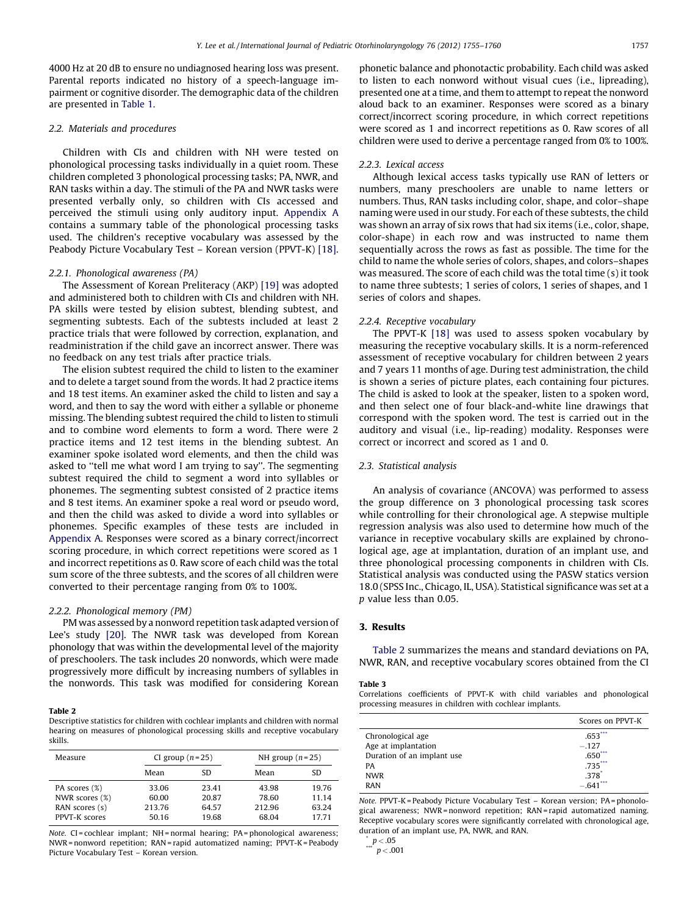<span id="page-2-0"></span>4000 Hz at 20 dB to ensure no undiagnosed hearing loss was present. Parental reports indicated no history of a speech-language impairment or cognitive disorder. The demographic data of the children are presented in [Table](#page-1-0) 1.

## 2.2. Materials and procedures

Children with CIs and children with NH were tested on phonological processing tasks individually in a quiet room. These children completed 3 phonological processing tasks; PA, NWR, and RAN tasks within a day. The stimuli of the PA and NWR tasks were presented verbally only, so children with CIs accessed and perceived the stimuli using only auditory input. [Appendix](#page-5-0) A contains a summary table of the phonological processing tasks used. The children's receptive vocabulary was assessed by the Peabody Picture Vocabulary Test – Korean version (PPVT-K) [\[18\].](#page-5-0)

#### 2.2.1. Phonological awareness (PA)

The Assessment of Korean Preliteracy (AKP) [\[19\]](#page-5-0) was adopted and administered both to children with CIs and children with NH. PA skills were tested by elision subtest, blending subtest, and segmenting subtests. Each of the subtests included at least 2 practice trials that were followed by correction, explanation, and readministration if the child gave an incorrect answer. There was no feedback on any test trials after practice trials.

The elision subtest required the child to listen to the examiner and to delete a target sound from the words. It had 2 practice items and 18 test items. An examiner asked the child to listen and say a word, and then to say the word with either a syllable or phoneme missing. The blending subtest required the child to listen to stimuli and to combine word elements to form a word. There were 2 practice items and 12 test items in the blending subtest. An examiner spoke isolated word elements, and then the child was asked to ''tell me what word I am trying to say''. The segmenting subtest required the child to segment a word into syllables or phonemes. The segmenting subtest consisted of 2 practice items and 8 test items. An examiner spoke a real word or pseudo word, and then the child was asked to divide a word into syllables or phonemes. Specific examples of these tests are included in [Appendix](#page-5-0) A. Responses were scored as a binary correct/incorrect scoring procedure, in which correct repetitions were scored as 1 and incorrect repetitions as 0. Raw score of each child was the total sum score of the three subtests, and the scores of all children were converted to their percentage ranging from 0% to 100%.

#### 2.2.2. Phonological memory (PM)

PM was assessed by a nonword repetition task adapted version of Lee's study [\[20\]](#page-5-0). The NWR task was developed from Korean phonology that was within the developmental level of the majority of preschoolers. The task includes 20 nonwords, which were made progressively more difficult by increasing numbers of syllables in the nonwords. This task was modified for considering Korean

#### Table 2

Descriptive statistics for children with cochlear implants and children with normal hearing on measures of phonological processing skills and receptive vocabulary skills.

| Measure                                                            | CI group $(n=25)$                 |                                  | NH group $(n=25)$                 |                                  |
|--------------------------------------------------------------------|-----------------------------------|----------------------------------|-----------------------------------|----------------------------------|
|                                                                    | Mean                              | SD                               | Mean                              | SD.                              |
| PA scores (%)<br>NWR scores (%)<br>RAN scores (s)<br>PPVT-K scores | 33.06<br>60.00<br>213.76<br>50.16 | 23.41<br>20.87<br>64.57<br>19.68 | 43.98<br>78.60<br>212.96<br>68.04 | 19.76<br>11.14<br>63.24<br>17.71 |

Note. CI = cochlear implant; NH = normal hearing; PA= phonological awareness; NWR = nonword repetition; RAN = rapid automatized naming; PPVT-K= Peabody Picture Vocabulary Test – Korean version.

phonetic balance and phonotactic probability. Each child was asked to listen to each nonword without visual cues (i.e., lipreading), presented one at a time, and them to attempt to repeat the nonword aloud back to an examiner. Responses were scored as a binary correct/incorrect scoring procedure, in which correct repetitions were scored as 1 and incorrect repetitions as 0. Raw scores of all children were used to derive a percentage ranged from 0% to 100%.

### 2.2.3. Lexical access

Although lexical access tasks typically use RAN of letters or numbers, many preschoolers are unable to name letters or numbers. Thus, RAN tasks including color, shape, and color–shape naming were used in our study. For each of these subtests, the child was shown an array of six rows that had six items (i.e., color, shape, color-shape) in each row and was instructed to name them sequentially across the rows as fast as possible. The time for the child to name the whole series of colors, shapes, and colors–shapes was measured. The score of each child was the total time (s) it took to name three subtests; 1 series of colors, 1 series of shapes, and 1 series of colors and shapes.

#### 2.2.4. Receptive vocabulary

The PPVT-K [\[18\]](#page-5-0) was used to assess spoken vocabulary by measuring the receptive vocabulary skills. It is a norm-referenced assessment of receptive vocabulary for children between 2 years and 7 years 11 months of age. During test administration, the child is shown a series of picture plates, each containing four pictures. The child is asked to look at the speaker, listen to a spoken word, and then select one of four black-and-white line drawings that correspond with the spoken word. The test is carried out in the auditory and visual (i.e., lip-reading) modality. Responses were correct or incorrect and scored as 1 and 0.

### 2.3. Statistical analysis

An analysis of covariance (ANCOVA) was performed to assess the group difference on 3 phonological processing task scores while controlling for their chronological age. A stepwise multiple regression analysis was also used to determine how much of the variance in receptive vocabulary skills are explained by chronological age, age at implantation, duration of an implant use, and three phonological processing components in children with CIs. Statistical analysis was conducted using the PASW statics version 18.0 (SPSS Inc., Chicago, IL, USA). Statistical significance was set at a p value less than 0.05.

#### 3. Results

Table 2 summarizes the means and standard deviations on PA, NWR, RAN, and receptive vocabulary scores obtained from the CI

#### Table 3

Correlations coefficients of PPVT-K with child variables and phonological processing measures in children with cochlear implants.

|                            | Scores on PPVT-K    |
|----------------------------|---------------------|
| Chronological age          | $.653$ ***          |
| Age at implantation        | $-.127$             |
| Duration of an implant use | .650                |
| PA                         | $.735$ ***          |
| <b>NWR</b>                 | $.378$ <sup>*</sup> |
| <b>RAN</b>                 | $-.641$ ***         |

Note. PPVT-K = Peabody Picture Vocabulary Test – Korean version; PA= phonological awareness; NWR = nonword repetition; RAN = rapid automatized naming. Receptive vocabulary scores were significantly correlated with chronological age, duration of an implant use, PA, NWR, and RAN.

 $p < .05$  $p < .001$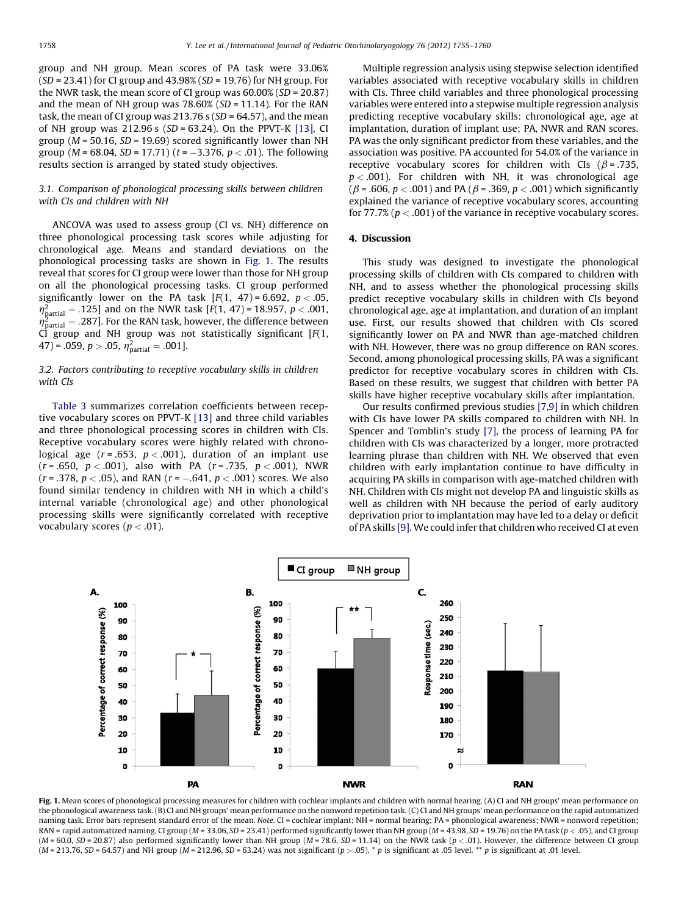group and NH group. Mean scores of PA task were 33.06% (SD = 23.41) for CI group and 43.98% (SD = 19.76) for NH group. For the NWR task, the mean score of CI group was  $60.00\%$  (SD = 20.87) and the mean of NH group was  $78.60\%$  (SD = 11.14). For the RAN task, the mean of CI group was 213.76 s ( $SD = 64.57$ ), and the mean of NH group was 212.96 s ( $SD = 63.24$ ). On the PPVT-K [\[13\],](#page-5-0) CI group ( $M = 50.16$ ,  $SD = 19.69$ ) scored significantly lower than NH group ( $M = 68.04$ ,  $SD = 17.71$ ) ( $t = -3.376$ ,  $p < .01$ ). The following results section is arranged by stated study objectives.

## 3.1. Comparison of phonological processing skills between children with CIs and children with NH

ANCOVA was used to assess group (CI vs. NH) difference on three phonological processing task scores while adjusting for chronological age. Means and standard deviations on the phonological processing tasks are shown in Fig. 1. The results reveal that scores for CI group were lower than those for NH group on all the phonological processing tasks. CI group performed significantly lower on the PA task  $[F(1, 47) = 6.692, p < .05,$  $\eta_{\rm partial}^2 = .125$ ] and on the NWR task [F(1, 47) = 18.957, p < .001,  $\eta_{\mathsf{partial}}^2 =$  .287]. For the RAN task, however, the difference between CI group and NH group was not statistically significant  $[F(1,$ 47) = .059,  $p >$  .05,  $\eta_{\text{partial}}^2 =$  .001].

## 3.2. Factors contributing to receptive vocabulary skills in children with CIs

[Table](#page-2-0) 3 summarizes correlation coefficients between receptive vocabulary scores on PPVT-K [\[13\]](#page-5-0) and three child variables and three phonological processing scores in children with CIs. Receptive vocabulary scores were highly related with chronological age ( $r = .653$ ,  $p < .001$ ), duration of an implant use  $(r = .650, p < .001)$ , also with PA  $(r = .735, p < .001)$ , NWR  $(r = .378, p < .05)$ , and RAN  $(r = -.641, p < .001)$  scores. We also found similar tendency in children with NH in which a child's internal variable (chronological age) and other phonological processing skills were significantly correlated with receptive vocabulary scores ( $p < .01$ ).

Multiple regression analysis using stepwise selection identified variables associated with receptive vocabulary skills in children with CIs. Three child variables and three phonological processing variables were entered into a stepwise multiple regression analysis predicting receptive vocabulary skills: chronological age, age at implantation, duration of implant use; PA, NWR and RAN scores. PA was the only significant predictor from these variables, and the association was positive. PA accounted for 54.0% of the variance in receptive vocabulary scores for children with CIs ( $\beta$  = .735,  $p < .001$ ). For children with NH, it was chronological age ( $\beta$  = .606,  $p < .001$ ) and PA ( $\beta$  = .369,  $p < .001$ ) which significantly explained the variance of receptive vocabulary scores, accounting for 77.7% ( $p < .001$ ) of the variance in receptive vocabulary scores.

## 4. Discussion

This study was designed to investigate the phonological processing skills of children with CIs compared to children with NH, and to assess whether the phonological processing skills predict receptive vocabulary skills in children with CIs beyond chronological age, age at implantation, and duration of an implant use. First, our results showed that children with CIs scored significantly lower on PA and NWR than age-matched children with NH. However, there was no group difference on RAN scores. Second, among phonological processing skills, PA was a significant predictor for receptive vocabulary scores in children with CIs. Based on these results, we suggest that children with better PA skills have higher receptive vocabulary skills after implantation.

Our results confirmed previous studies [\[7,9\]](#page-5-0) in which children with CIs have lower PA skills compared to children with NH. In Spencer and Tomblin's study [\[7\]](#page-5-0), the process of learning PA for children with CIs was characterized by a longer, more protracted learning phrase than children with NH. We observed that even children with early implantation continue to have difficulty in acquiring PA skills in comparison with age-matched children with NH. Children with CIs might not develop PA and linguistic skills as well as children with NH because the period of early auditory deprivation prior to implantation may have led to a delay or deficit of PA skills [\[9\]](#page-5-0). We could infer that children who received CI at even



Fig. 1. Mean scores of phonological processing measures for children with cochlear implants and children with normal hearing. (A) CI and NH groups' mean performance on the phonological awareness task. (B) CI and NH groups' mean performance on the nonword repetition task. (C) CI and NH groups' mean performance on the rapid automatized naming task. Error bars represent standard error of the mean. Note. CI = cochlear implant; NH = normal hearing; PA = phonological awareness; NWR = nonword repetition; RAN = rapid automatized naming. CI group ( $M = 33.06$ ,  $SD = 23.41$ ) performed significantly lower than NH group ( $M = 43.98$ ,  $SD = 19.76$ ) on the PA task ( $p < .05$ ), and CI group  $(M = 60.0, SD = 20.87)$  also performed significantly lower than NH group  $(M = 78.6, SD = 11.14)$  on the NWR task  $(p < .01)$ . However, the difference between CI group  $(M = 213.76, SD = 64.57)$  and NH group  $(M = 212.96, SD = 63.24)$  was not significant  $(p > .05)$ . \* p is significant at .05 level. \*\* p is significant at .01 level.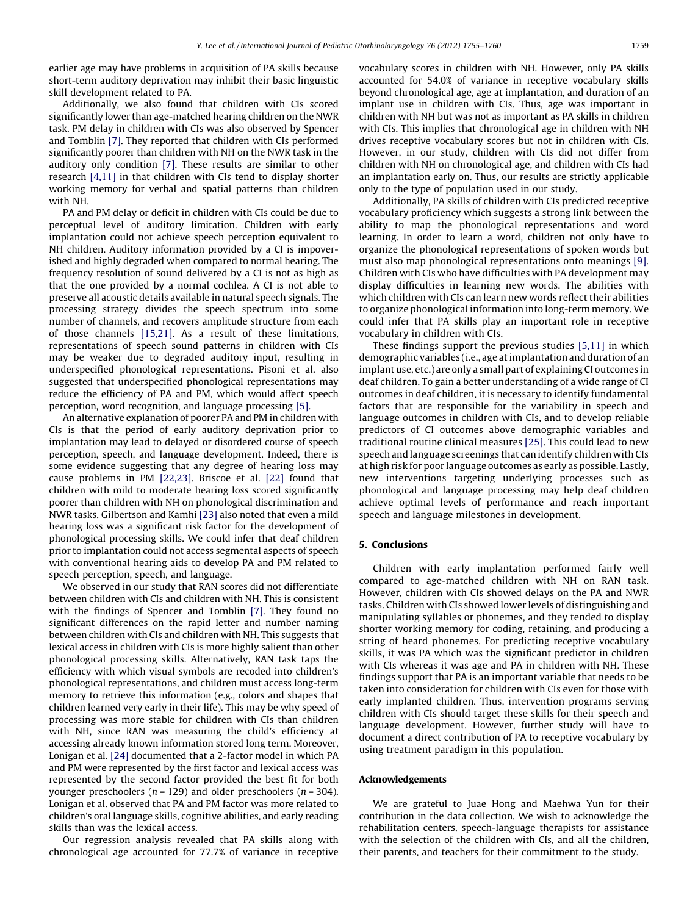earlier age may have problems in acquisition of PA skills because short-term auditory deprivation may inhibit their basic linguistic skill development related to PA.

Additionally, we also found that children with CIs scored significantly lower than age-matched hearing children on the NWR task. PM delay in children with CIs was also observed by Spencer and Tomblin [\[7\].](#page-5-0) They reported that children with CIs performed significantly poorer than children with NH on the NWR task in the auditory only condition [\[7\].](#page-5-0) These results are similar to other research [\[4,11\]](#page-5-0) in that children with CIs tend to display shorter working memory for verbal and spatial patterns than children with NH.

PA and PM delay or deficit in children with CIs could be due to perceptual level of auditory limitation. Children with early implantation could not achieve speech perception equivalent to NH children. Auditory information provided by a CI is impoverished and highly degraded when compared to normal hearing. The frequency resolution of sound delivered by a CI is not as high as that the one provided by a normal cochlea. A CI is not able to preserve all acoustic details available in natural speech signals. The processing strategy divides the speech spectrum into some number of channels, and recovers amplitude structure from each of those channels [\[15,21\]](#page-5-0). As a result of these limitations, representations of speech sound patterns in children with CIs may be weaker due to degraded auditory input, resulting in underspecified phonological representations. Pisoni et al. also suggested that underspecified phonological representations may reduce the efficiency of PA and PM, which would affect speech perception, word recognition, and language processing [\[5\].](#page-5-0)

An alternative explanation of poorer PA and PM in children with CIs is that the period of early auditory deprivation prior to implantation may lead to delayed or disordered course of speech perception, speech, and language development. Indeed, there is some evidence suggesting that any degree of hearing loss may cause problems in PM [\[22,23\].](#page-5-0) Briscoe et al. [\[22\]](#page-5-0) found that children with mild to moderate hearing loss scored significantly poorer than children with NH on phonological discrimination and NWR tasks. Gilbertson and Kamhi [\[23\]](#page-5-0) also noted that even a mild hearing loss was a significant risk factor for the development of phonological processing skills. We could infer that deaf children prior to implantation could not access segmental aspects of speech with conventional hearing aids to develop PA and PM related to speech perception, speech, and language.

We observed in our study that RAN scores did not differentiate between children with CIs and children with NH. This is consistent with the findings of Spencer and Tomblin [\[7\]](#page-5-0). They found no significant differences on the rapid letter and number naming between children with CIs and children with NH. This suggests that lexical access in children with CIs is more highly salient than other phonological processing skills. Alternatively, RAN task taps the efficiency with which visual symbols are recoded into children's phonological representations, and children must access long-term memory to retrieve this information (e.g., colors and shapes that children learned very early in their life). This may be why speed of processing was more stable for children with CIs than children with NH, since RAN was measuring the child's efficiency at accessing already known information stored long term. Moreover, Lonigan et al. [\[24\]](#page-5-0) documented that a 2-factor model in which PA and PM were represented by the first factor and lexical access was represented by the second factor provided the best fit for both younger preschoolers ( $n = 129$ ) and older preschoolers ( $n = 304$ ). Lonigan et al. observed that PA and PM factor was more related to children's oral language skills, cognitive abilities, and early reading skills than was the lexical access.

Our regression analysis revealed that PA skills along with chronological age accounted for 77.7% of variance in receptive vocabulary scores in children with NH. However, only PA skills accounted for 54.0% of variance in receptive vocabulary skills beyond chronological age, age at implantation, and duration of an implant use in children with CIs. Thus, age was important in children with NH but was not as important as PA skills in children with CIs. This implies that chronological age in children with NH drives receptive vocabulary scores but not in children with CIs. However, in our study, children with CIs did not differ from children with NH on chronological age, and children with CIs had an implantation early on. Thus, our results are strictly applicable only to the type of population used in our study.

Additionally, PA skills of children with CIs predicted receptive vocabulary proficiency which suggests a strong link between the ability to map the phonological representations and word learning. In order to learn a word, children not only have to organize the phonological representations of spoken words but must also map phonological representations onto meanings [\[9\].](#page-5-0) Children with CIs who have difficulties with PA development may display difficulties in learning new words. The abilities with which children with CIs can learn new words reflect their abilities to organize phonological information into long-term memory. We could infer that PA skills play an important role in receptive vocabulary in children with CIs.

These findings support the previous studies [\[5,11\]](#page-5-0) in which demographic variables (i.e., age atimplantation and duration of an implant use, etc.) are only a small part of explaining CI outcomes in deaf children. To gain a better understanding of a wide range of CI outcomes in deaf children, it is necessary to identify fundamental factors that are responsible for the variability in speech and language outcomes in children with CIs, and to develop reliable predictors of CI outcomes above demographic variables and traditional routine clinical measures [\[25\]](#page-5-0). This could lead to new speech and language screenings that can identify children with CIs at high risk for poor language outcomes as early as possible. Lastly, new interventions targeting underlying processes such as phonological and language processing may help deaf children achieve optimal levels of performance and reach important speech and language milestones in development.

### 5. Conclusions

Children with early implantation performed fairly well compared to age-matched children with NH on RAN task. However, children with CIs showed delays on the PA and NWR tasks. Children with CIs showed lower levels of distinguishing and manipulating syllables or phonemes, and they tended to display shorter working memory for coding, retaining, and producing a string of heard phonemes. For predicting receptive vocabulary skills, it was PA which was the significant predictor in children with CIs whereas it was age and PA in children with NH. These findings support that PA is an important variable that needs to be taken into consideration for children with CIs even for those with early implanted children. Thus, intervention programs serving children with CIs should target these skills for their speech and language development. However, further study will have to document a direct contribution of PA to receptive vocabulary by using treatment paradigm in this population.

#### Acknowledgements

We are grateful to Juae Hong and Maehwa Yun for their contribution in the data collection. We wish to acknowledge the rehabilitation centers, speech-language therapists for assistance with the selection of the children with CIs, and all the children, their parents, and teachers for their commitment to the study.